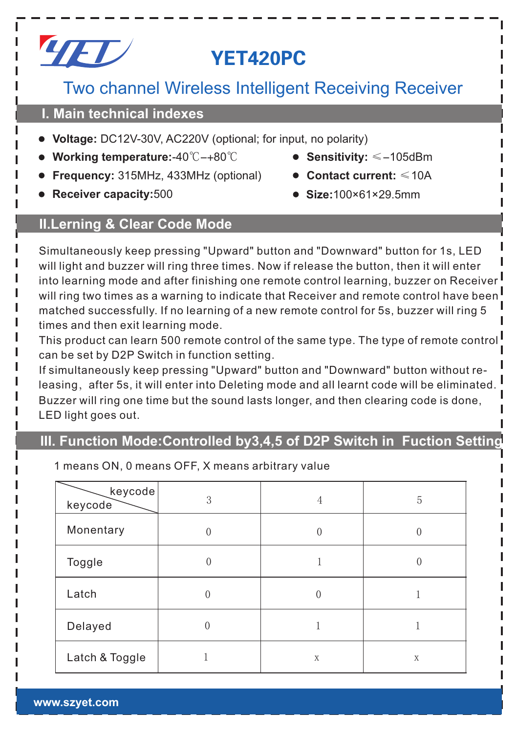

# YET420PC

# Two channel Wireless Intelligent Receiving Receiver

### **I. Main technical indexes**

- **Voltage:** DC12V-30V, AC220V (optional; for input, no polarity)
- **Working temperature:**-40℃-+80℃ **Sensitivity:** ≤-105dBm
- **Frequency:** 315MHz, 433MHz (optional) **Contact current:** ≤10A
- **Receiver capacity:**500 **Size:**100×61×29.5mm
- 
- 
- 

## **II.Lerning & Clear Code Mode**

Simultaneously keep pressing "Upward" button and "Downward" button for 1s, LED will light and buzzer will ring three times. Now if release the button, then it will enter into learning mode and after finishing one remote control learning, buzzer on Receiver  $^{\mathsf{I}}$ will ring two times as a warning to indicate that Receiver and remote control have been matched successfully. If no learning of a new remote control for 5s, buzzer will ring 5 times and then exit learning mode.

This product can learn 500 remote control of the same type. The type of remote control can be set by D2P Switch in function setting.

If simultaneously keep pressing "Upward" button and "Downward" button without releasing, after 5s, it will enter into Deleting mode and all learnt code will be eliminated. Buzzer will ring one time but the sound lasts longer, and then clearing code is done, LED light goes out.

## **III. Function Mode:Controlled by3,4,5 of D2P Switch in Fuction Setting**

| keycode<br>keycode | 3        | 4 | 5 |
|--------------------|----------|---|---|
| Monentary          |          |   | 0 |
| Toggle             |          |   | 0 |
| Latch              | $\theta$ | 0 |   |
| Delayed            | 0        |   |   |
| Latch & Toggle     |          | X | X |

1 means ON, 0 means OFF, X means arbitrary value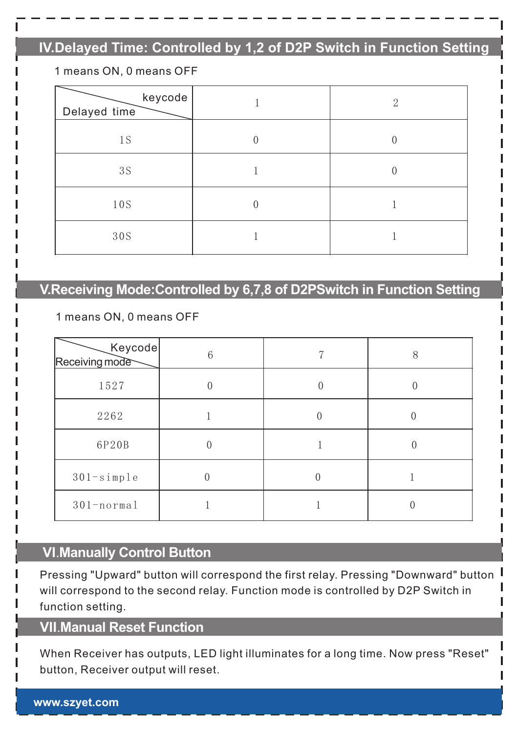# **IV.Delayed Time: Controlled by 1,2 of D2P Switch in Function Setting**

#### 1 means ON, 0 means OFF

| keycode<br>Delayed time |              | $\mathcal{D}$ |
|-------------------------|--------------|---------------|
| 1S                      | 0            | 0             |
| 3S                      |              | 0             |
| 10S                     | $\mathbf{0}$ |               |
| 30S                     |              |               |

## **V.Receiving Mode:Controlled by 6,7,8 of D2PSwitch in Function Setting**

#### 1 means ON, 0 means OFF

| Keycode<br>Receiving mode | 6 | 8 |
|---------------------------|---|---|
| 1527                      |   |   |
| 2262                      |   |   |
| 6P20B                     |   |   |
| $301 - simpl$ e           |   |   |
| $301 - normal$            |   |   |

### **VI**.**Manually Control Button**

Pressing "Upward" button will correspond the first relay. Pressing "Downward" button will correspond to the second relay. Function mode is controlled by D2P Switch in function setting.

### **VII**.**Manual Reset Function**

When Receiver has outputs, LED light illuminates for a long time. Now press "Reset" button, Receiver output will reset.